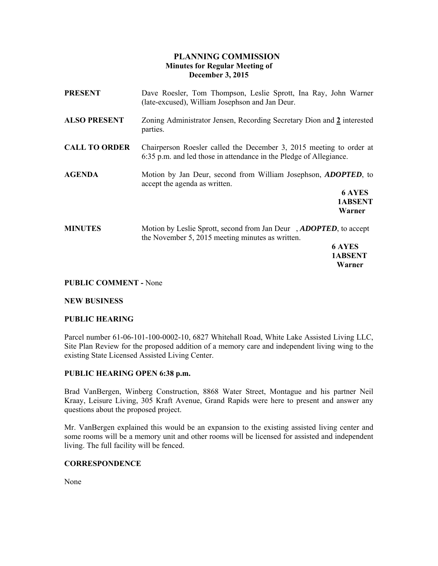# **PLANNING COMMISSION Minutes for Regular Meeting of December 3, 2015**

| <b>PRESENT</b>       | Dave Roesler, Tom Thompson, Leslie Sprott, Ina Ray, John Warner<br>(late-excused), William Josephson and Jan Deur.                                               |
|----------------------|------------------------------------------------------------------------------------------------------------------------------------------------------------------|
| <b>ALSO PRESENT</b>  | Zoning Administrator Jensen, Recording Secretary Dion and 2 interested<br>parties.                                                                               |
| <b>CALL TO ORDER</b> | Chairperson Roesler called the December 3, 2015 meeting to order at<br>6:35 p.m. and led those in attendance in the Pledge of Allegiance.                        |
| <b>AGENDA</b>        | Motion by Jan Deur, second from William Josephson, <i>ADOPTED</i> , to<br>accept the agenda as written.<br><b>6 AYES</b><br>1ABSENT<br>Warner                    |
| <b>MINUTES</b>       | Motion by Leslie Sprott, second from Jan Deur, <i>ADOPTED</i> , to accept<br>the November 5, 2015 meeting minutes as written.<br><b>6 AYES</b><br><b>1ABSENT</b> |

# **PUBLIC COMMENT -** None

### **NEW BUSINESS**

### **PUBLIC HEARING**

Parcel number 61-06-101-100-0002-10, 6827 Whitehall Road, White Lake Assisted Living LLC, Site Plan Review for the proposed addition of a memory care and independent living wing to the existing State Licensed Assisted Living Center.

 **Warner** 

### **PUBLIC HEARING OPEN 6:38 p.m.**

Brad VanBergen, Winberg Construction, 8868 Water Street, Montague and his partner Neil Kraay, Leisure Living, 305 Kraft Avenue, Grand Rapids were here to present and answer any questions about the proposed project.

Mr. VanBergen explained this would be an expansion to the existing assisted living center and some rooms will be a memory unit and other rooms will be licensed for assisted and independent living. The full facility will be fenced.

# **CORRESPONDENCE**

None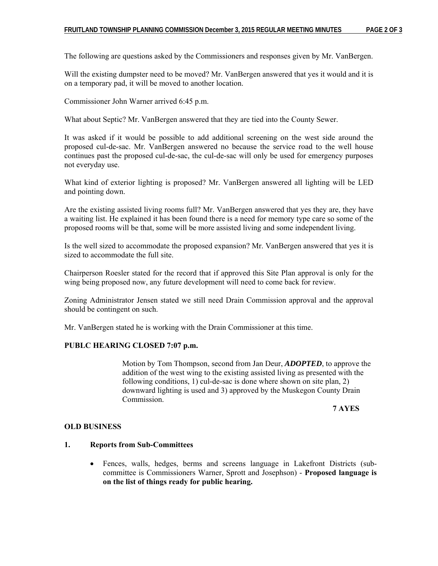The following are questions asked by the Commissioners and responses given by Mr. VanBergen.

Will the existing dumpster need to be moved? Mr. VanBergen answered that yes it would and it is on a temporary pad, it will be moved to another location.

Commissioner John Warner arrived 6:45 p.m.

What about Septic? Mr. VanBergen answered that they are tied into the County Sewer.

It was asked if it would be possible to add additional screening on the west side around the proposed cul-de-sac. Mr. VanBergen answered no because the service road to the well house continues past the proposed cul-de-sac, the cul-de-sac will only be used for emergency purposes not everyday use.

What kind of exterior lighting is proposed? Mr. VanBergen answered all lighting will be LED and pointing down.

Are the existing assisted living rooms full? Mr. VanBergen answered that yes they are, they have a waiting list. He explained it has been found there is a need for memory type care so some of the proposed rooms will be that, some will be more assisted living and some independent living.

Is the well sized to accommodate the proposed expansion? Mr. VanBergen answered that yes it is sized to accommodate the full site.

Chairperson Roesler stated for the record that if approved this Site Plan approval is only for the wing being proposed now, any future development will need to come back for review.

Zoning Administrator Jensen stated we still need Drain Commission approval and the approval should be contingent on such.

Mr. VanBergen stated he is working with the Drain Commissioner at this time.

# **PUBLC HEARING CLOSED 7:07 p.m.**

Motion by Tom Thompson, second from Jan Deur, *ADOPTED*, to approve the addition of the west wing to the existing assisted living as presented with the following conditions, 1) cul-de-sac is done where shown on site plan, 2) downward lighting is used and 3) approved by the Muskegon County Drain Commission.

**7 AYES** 

#### **OLD BUSINESS**

# **1. Reports from Sub-Committees**

 Fences, walls, hedges, berms and screens language in Lakefront Districts (subcommittee is Commissioners Warner, Sprott and Josephson) - **Proposed language is on the list of things ready for public hearing.**